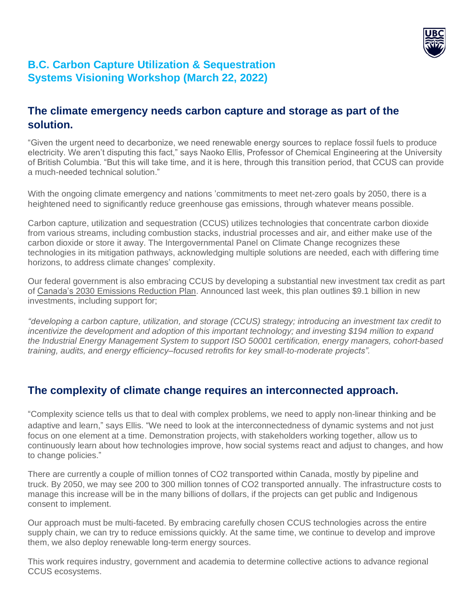

# **B.C. Carbon Capture Utilization & Sequestration Systems Visioning Workshop (March 22, 2022)**

### **The climate emergency needs carbon capture and storage as part of the solution.**

"Given the urgent need to decarbonize, we need renewable energy sources to replace fossil fuels to produce electricity. We aren't disputing this fact," says Naoko Ellis, Professor of Chemical Engineering at the University of British Columbia. "But this will take time, and it is here, through this transition period, that CCUS can provide a much-needed technical solution."

With the ongoing climate emergency and nations 'commitments to meet net-zero goals by 2050, there is a heightened need to significantly reduce greenhouse gas emissions, through whatever means possible.

Carbon capture, utilization and sequestration (CCUS) utilizes technologies that concentrate carbon dioxide from various streams, including combustion stacks, industrial processes and air, and either make use of the carbon dioxide or store it away. The Intergovernmental Panel on Climate Change recognizes these technologies in its mitigation pathways, acknowledging multiple solutions are needed, each with differing time horizons, to address climate changes' complexity.

Our federal government is also embracing CCUS by developing a substantial new investment tax credit as part of Canada's 2030 [Emissions](https://www.canada.ca/en/environment-climate-change/news/2022/03/2030-emissions-reduction-plan--canadas-next-steps-for-clean-air-and-a-strong-economy.html) Reduction Plan. Announced last week, this plan outlines \$9.1 billion in new investments, including support for;

*"developing a carbon capture, utilization, and storage (CCUS) strategy; introducing an investment tax credit to incentivize the development and adoption of this important technology; and investing \$194 million to expand the Industrial Energy Management System to support ISO 50001 certification, energy managers, cohort-based training, audits, and energy efficiency–focused retrofits for key small-to-moderate projects".*

### **The complexity of climate change requires an interconnected approach.**

"Complexity science tells us that to deal with complex problems, we need to apply non-linear thinking and be adaptive and learn," says Ellis. "We need to look at the interconnectedness of dynamic systems and not just focus on one element at a time. Demonstration projects, with stakeholders working together, allow us to continuously learn about how technologies improve, how social systems react and adjust to changes, and how to change policies."

There are currently a couple of million tonnes of CO2 transported within Canada, mostly by pipeline and truck. By 2050, we may see 200 to 300 million tonnes of CO2 transported annually. The infrastructure costs to manage this increase will be in the many billions of dollars, if the projects can get public and Indigenous consent to implement.

Our approach must be multi-faceted. By embracing carefully chosen CCUS technologies across the entire supply chain, we can try to reduce emissions quickly. At the same time, we continue to develop and improve them, we also deploy renewable long-term energy sources.

This work requires industry, government and academia to determine collective actions to advance regional CCUS ecosystems.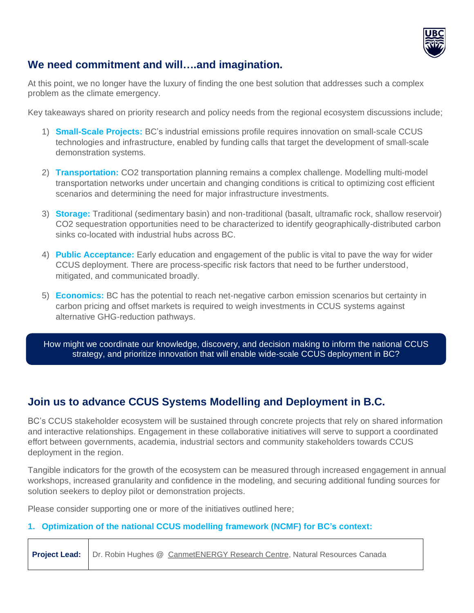

## **We need commitment and will….and imagination.**

At this point, we no longer have the luxury of finding the one best solution that addresses such a complex problem as the climate emergency.

Key takeaways shared on priority research and policy needs from the regional ecosystem discussions include;

- 1) **Small-Scale Projects:** BC's industrial emissions profile requires innovation on small-scale CCUS technologies and infrastructure, enabled by funding calls that target the development of small-scale demonstration systems.
- 2) **Transportation:** CO2 transportation planning remains a complex challenge. Modelling multi-model transportation networks under uncertain and changing conditions is critical to optimizing cost efficient scenarios and determining the need for major infrastructure investments.
- 3) **Storage:** Traditional (sedimentary basin) and non-traditional (basalt, ultramafic rock, shallow reservoir) CO2 sequestration opportunities need to be characterized to identify geographically-distributed carbon sinks co-located with industrial hubs across BC.
- 4) **Public Acceptance:** Early education and engagement of the public is vital to pave the way for wider CCUS deployment. There are process-specific risk factors that need to be further understood, mitigated, and communicated broadly.
- 5) **Economics:** BC has the potential to reach net-negative carbon emission scenarios but certainty in carbon pricing and offset markets is required to weigh investments in CCUS systems against alternative GHG-reduction pathways.

How might we coordinate our knowledge, discovery, and decision making to inform the national CCUS strategy, and prioritize innovation that will enable wide-scale CCUS deployment in BC?

### **Join us to advance CCUS Systems Modelling and Deployment in B.C.**

BC's CCUS stakeholder ecosystem will be sustained through concrete projects that rely on shared information and interactive relationships. Engagement in these collaborative initiatives will serve to support a coordinated effort between governments, academia, industrial sectors and community stakeholders towards CCUS deployment in the region.

Tangible indicators for the growth of the ecosystem can be measured through increased engagement in annual workshops, increased granularity and confidence in the modeling, and securing additional funding sources for solution seekers to deploy pilot or demonstration projects.

Please consider supporting one or more of the initiatives outlined here;

#### **1. Optimization of the national CCUS modelling framework (NCMF) for BC's context:**

**Project Lead:** Dr. Robin Hughes @ [CanmetENERGY](https://www.nrcan.gc.ca/energy/offices-labs/canmet/ottawa-research-centre/co2-capture-utilization-and-storage-ccus/23320) Research Centre, Natural Resources Canada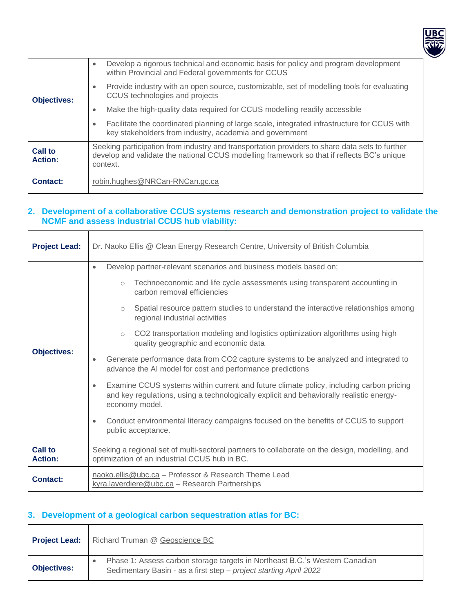

| <b>Objectives:</b>               | Develop a rigorous technical and economic basis for policy and program development<br>$\bullet$<br>within Provincial and Federal governments for CCUS<br>Provide industry with an open source, customizable, set of modelling tools for evaluating<br>CCUS technologies and projects |  |  |  |  |  |
|----------------------------------|--------------------------------------------------------------------------------------------------------------------------------------------------------------------------------------------------------------------------------------------------------------------------------------|--|--|--|--|--|
|                                  | Make the high-quality data required for CCUS modelling readily accessible<br>٠                                                                                                                                                                                                       |  |  |  |  |  |
|                                  | Facilitate the coordinated planning of large scale, integrated infrastructure for CCUS with<br>key stakeholders from industry, academia and government                                                                                                                               |  |  |  |  |  |
| <b>Call to</b><br><b>Action:</b> | Seeking participation from industry and transportation providers to share data sets to further<br>develop and validate the national CCUS modelling framework so that if reflects BC's unique<br>context.                                                                             |  |  |  |  |  |
| <b>Contact:</b>                  | robin.hughes@NRCan-RNCan.gc.ca                                                                                                                                                                                                                                                       |  |  |  |  |  |

#### **2. Development of a collaborative CCUS systems research and demonstration project to validate the NCMF and assess industrial CCUS hub viability:**

| <b>Project Lead:</b>             | Dr. Naoko Ellis @ Clean Energy Research Centre, University of British Columbia                                                                                                                                                                                                                                                                                                                                                                                             |  |  |  |  |  |  |
|----------------------------------|----------------------------------------------------------------------------------------------------------------------------------------------------------------------------------------------------------------------------------------------------------------------------------------------------------------------------------------------------------------------------------------------------------------------------------------------------------------------------|--|--|--|--|--|--|
|                                  | Develop partner-relevant scenarios and business models based on;<br>$\bullet$<br>Technoeconomic and life cycle assessments using transparent accounting in<br>$\circ$<br>carbon removal efficiencies<br>Spatial resource pattern studies to understand the interactive relationships among<br>$\circ$<br>regional industrial activities<br>CO2 transportation modeling and logistics optimization algorithms using high<br>$\circ$<br>quality geographic and economic data |  |  |  |  |  |  |
| <b>Objectives:</b>               | Generate performance data from CO2 capture systems to be analyzed and integrated to<br>advance the AI model for cost and performance predictions                                                                                                                                                                                                                                                                                                                           |  |  |  |  |  |  |
|                                  | Examine CCUS systems within current and future climate policy, including carbon pricing<br>۰<br>and key regulations, using a technologically explicit and behaviorally realistic energy-<br>economy model.                                                                                                                                                                                                                                                                 |  |  |  |  |  |  |
|                                  | Conduct environmental literacy campaigns focused on the benefits of CCUS to support<br>public acceptance.                                                                                                                                                                                                                                                                                                                                                                  |  |  |  |  |  |  |
| <b>Call to</b><br><b>Action:</b> | Seeking a regional set of multi-sectoral partners to collaborate on the design, modelling, and<br>optimization of an industrial CCUS hub in BC.                                                                                                                                                                                                                                                                                                                            |  |  |  |  |  |  |
| <b>Contact:</b>                  | naoko.ellis@ubc.ca - Professor & Research Theme Lead<br>kyra.laverdiere@ubc.ca - Research Partnerships                                                                                                                                                                                                                                                                                                                                                                     |  |  |  |  |  |  |

#### **3. Development of a geological carbon sequestration atlas for BC:**

 $\overline{\phantom{a}}$ 

 $\top$ 

 $\Gamma$ 

| <b>Project Lead:</b> | Richard Truman @ Geoscience BC                                                                                                                   |
|----------------------|--------------------------------------------------------------------------------------------------------------------------------------------------|
| <b>Objectives:</b>   | Phase 1: Assess carbon storage targets in Northeast B.C.'s Western Canadian<br>Sedimentary Basin - as a first step - project starting April 2022 |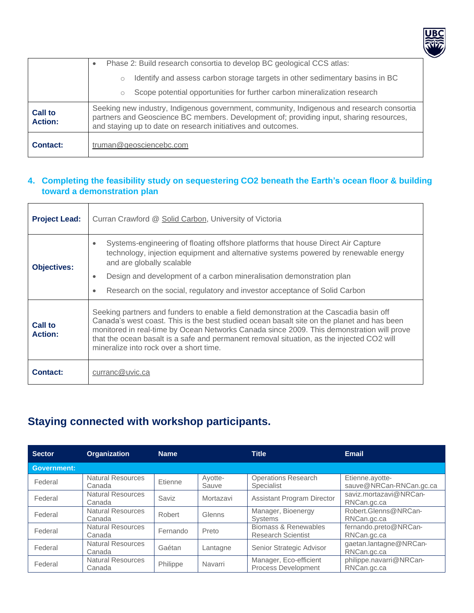

|                                  | Phase 2: Build research consortia to develop BC geological CCS atlas:<br>$\bullet$                                                                                                                                                                   |  |  |  |  |  |
|----------------------------------|------------------------------------------------------------------------------------------------------------------------------------------------------------------------------------------------------------------------------------------------------|--|--|--|--|--|
|                                  | Identify and assess carbon storage targets in other sedimentary basins in BC<br>$\circ$                                                                                                                                                              |  |  |  |  |  |
|                                  | Scope potential opportunities for further carbon mineralization research<br>$\circ$                                                                                                                                                                  |  |  |  |  |  |
| <b>Call to</b><br><b>Action:</b> | Seeking new industry, Indigenous government, community, Indigenous and research consortia<br>partners and Geoscience BC members. Development of; providing input, sharing resources,<br>and staying up to date on research initiatives and outcomes. |  |  |  |  |  |
| Contact:                         | truman@geosciencebc.com                                                                                                                                                                                                                              |  |  |  |  |  |

#### **4. Completing the feasibility study on sequestering CO2 beneath the Earth's ocean floor & building toward a demonstration plan**

| <b>Project Lead:</b>             | Curran Crawford @ Solid Carbon, University of Victoria                                                                                                                                                                                                                                                                                                                                                                    |  |  |  |  |  |  |
|----------------------------------|---------------------------------------------------------------------------------------------------------------------------------------------------------------------------------------------------------------------------------------------------------------------------------------------------------------------------------------------------------------------------------------------------------------------------|--|--|--|--|--|--|
| <b>Objectives:</b>               | Systems-engineering of floating offshore platforms that house Direct Air Capture<br>$\bullet$<br>technology, injection equipment and alternative systems powered by renewable energy<br>and are globally scalable                                                                                                                                                                                                         |  |  |  |  |  |  |
|                                  | Design and development of a carbon mineralisation demonstration plan<br>$\bullet$                                                                                                                                                                                                                                                                                                                                         |  |  |  |  |  |  |
|                                  | Research on the social, regulatory and investor acceptance of Solid Carbon<br>$\bullet$                                                                                                                                                                                                                                                                                                                                   |  |  |  |  |  |  |
| <b>Call to</b><br><b>Action:</b> | Seeking partners and funders to enable a field demonstration at the Cascadia basin off<br>Canada's west coast. This is the best studied ocean basalt site on the planet and has been<br>monitored in real-time by Ocean Networks Canada since 2009. This demonstration will prove<br>that the ocean basalt is a safe and permanent removal situation, as the injected CO2 will<br>mineralize into rock over a short time. |  |  |  |  |  |  |
| <b>Contact:</b>                  | curranc@uvic.ca                                                                                                                                                                                                                                                                                                                                                                                                           |  |  |  |  |  |  |

# **Staying connected with workshop participants.**

| <b>Sector</b>      | <b>Organization</b>                | <b>Name</b> |                  | <b>Title</b>                                      | <b>Email</b>                               |
|--------------------|------------------------------------|-------------|------------------|---------------------------------------------------|--------------------------------------------|
| <b>Government:</b> |                                    |             |                  |                                                   |                                            |
| Federal            | <b>Natural Resources</b><br>Canada | Etienne     | Ayotte-<br>Sauve | <b>Operations Research</b><br><b>Specialist</b>   | Etienne.ayotte-<br>sauve@NRCan-RNCan.gc.ca |
| Federal            | <b>Natural Resources</b><br>Canada | Saviz       | Mortazavi        | <b>Assistant Program Director</b>                 | saviz.mortazavi@NRCan-<br>RNCan.gc.ca      |
| Federal            | <b>Natural Resources</b><br>Canada | Robert      | Glenns           | Manager, Bioenergy<br><b>Systems</b>              | Robert.Glenns@NRCan-<br>RNCan.gc.ca        |
| Federal            | <b>Natural Resources</b><br>Canada | Fernando    | Preto            | Biomass & Renewables<br><b>Research Scientist</b> | fernando.preto@NRCan-<br>RNCan.gc.ca       |
| Federal            | Natural Resources<br>Canada        | Gaétan      | Lantagne         | Senior Strategic Advisor                          | gaetan.lantagne@NRCan-<br>RNCan.gc.ca      |
| Federal            | Natural Resources<br>Canada        | Philippe    | Navarri          | Manager, Eco-efficient<br>Process Development     | philippe.navarri@NRCan-<br>RNCan.gc.ca     |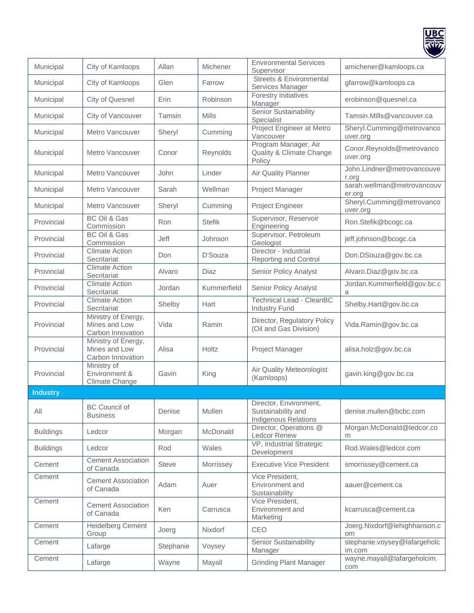

|                  |                                                           |              |               |                                                                             | $\tilde{}$                             |
|------------------|-----------------------------------------------------------|--------------|---------------|-----------------------------------------------------------------------------|----------------------------------------|
| Municipal        | City of Kamloops                                          | Allan        | Michener      | <b>Environmental Services</b><br>Supervisor                                 | amichener@kamloops.ca                  |
| Municipal        | City of Kamloops                                          | Glen         | Farrow        | <b>Streets &amp; Environmental</b><br>Services Manager                      | gfarrow@kamloops.ca                    |
| Municipal        | City of Quesnel                                           | Erin         | Robinson      | Forestry Initiatives<br>Manager                                             | erobinson@quesnel.ca                   |
| Municipal        | City of Vancouver                                         | Tamsin       | Mills         | Senior Sustainability<br>Specialist                                         | Tamsin.Mills@vancouver.ca              |
| Municipal        | Metro Vancouver                                           | Sheryl       | Cumming       | Project Engineer at Metro<br>Vancouver                                      | Sheryl.Cumming@metrovanco<br>uver.org  |
| Municipal        | Metro Vancouver                                           | Conor        | Reynolds      | Program Manager, Air<br>Quality & Climate Change<br>Policy                  | Conor.Reynolds@metrovanco<br>uver.org  |
| Municipal        | Metro Vancouver                                           | John         | Linder        | Air Quality Planner                                                         | John.Lindner@metrovancouve<br>r.org    |
| Municipal        | Metro Vancouver                                           | Sarah        | Wellman       | Project Manager                                                             | sarah.wellman@metrovancouv<br>er.org   |
| Municipal        | Metro Vancouver                                           | Sheryl       | Cumming       | Project Engineer                                                            | Sheryl.Cumming@metrovanco<br>uver.org  |
| Provincial       | <b>BC Oil &amp; Gas</b><br>Commission                     | Ron          | <b>Stefik</b> | Supervisor, Reservoir<br>Engineering                                        | Ron.Stefik@bcogc.ca                    |
| Provincial       | <b>BC Oil &amp; Gas</b><br>Commission                     | Jeff         | Johnson       | Supervisor, Petroleum<br>Geologist                                          | jeff.johnson@bcogc.ca                  |
| Provincial       | <b>Climate Action</b><br>Secritariat                      | Don          | D'Souza       | Director - Industrial<br><b>Reporting and Control</b>                       | Don.DSouza@gov.bc.ca                   |
| Provincial       | <b>Climate Action</b><br>Secritariat                      | Alvaro       | Diaz          | <b>Senior Policy Analyst</b>                                                | Alvaro.Diaz@gov.bc.ca                  |
| Provincial       | <b>Climate Action</b><br>Secritariat                      | Jordan       | Kummerfield   | Senior Policy Analyst                                                       | Jordan.Kummerfield@gov.bc.c<br>a       |
| Provincial       | <b>Climate Action</b><br>Secritariat                      | Shelby       | Hart          | <b>Technical Lead - CleanBC</b><br><b>Industry Fund</b>                     | Shelby.Hart@gov.bc.ca                  |
| Provincial       | Ministry of Energy,<br>Mines and Low<br>Carbon Innovation | Vida         | Ramin         | Director, Regulatory Policy<br>(Oil and Gas Division)                       | Vida.Ramin@gov.bc.ca                   |
| Provincial       | Ministry of Energy,<br>Mines and Low<br>Carbon Innovation | Alisa        | Holtz         | Project Manager                                                             | alisa.holz@gov.bc.ca                   |
| Provincial       | Ministry of<br>Environment &<br>Climate Change            | Gavin        | King          | Air Quality Meteorologist<br>(Kamloops)                                     | gavin.king@gov.bc.ca                   |
| <b>Industry</b>  |                                                           |              |               |                                                                             |                                        |
| All              | <b>BC Council of</b><br><b>Business</b>                   | Denise       | Mullen        | Director, Environment,<br>Sustainability and<br><b>Indigenous Relations</b> | denise.mullen@bcbc.com                 |
| <b>Buildings</b> | Ledcor                                                    | Morgan       | McDonald      | Director, Operations @<br>Ledcor Renew                                      | Morgan.McDonald@ledcor.co<br>m         |
| <b>Buildings</b> | Ledcor                                                    | Rod          | Wales         | VP, Industrial Strategic<br>Development                                     | Rod.Wales@ledcor.com                   |
| Cement           | <b>Cement Association</b><br>of Canada                    | <b>Steve</b> | Morrissey     | <b>Executive Vice President</b>                                             | smorrissey@cement.ca                   |
| Cement           | <b>Cement Association</b><br>of Canada                    | Adam         | Auer          | Vice President,<br>Environment and<br>Sustainability                        | aauer@cement.ca                        |
| Cement           | <b>Cement Association</b><br>of Canada                    | Ken          | Carrusca      | Vice President,<br>Environment and<br>Marketing                             | kcarrusca@cement.ca                    |
| Cement           | <b>Heidelberg Cement</b><br>Group                         | Joerg        | Nixdorf       | CEO                                                                         | Joerg.Nixdorf@lehighhanson.c<br>om     |
| Cement           | Lafarge                                                   | Stephanie    | Voysey        | Senior Sustainability<br>Manager                                            | stephanie.voysey@lafargeholc<br>im.com |
|                  |                                                           |              |               |                                                                             |                                        |
| Cement           | Lafarge                                                   | Wayne        | Mayall        | <b>Grinding Plant Manager</b>                                               | wayne.mayall@lafargeholcim.<br>com     |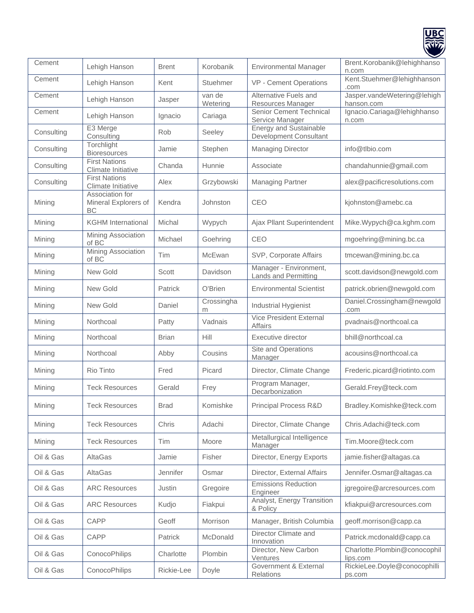

| Cement     | Lehigh Hanson                                 | <b>Brent</b>   | Korobanik          | <b>Environmental Manager</b>                            | Brent.Korobanik@lehighhanso<br>n.com      |
|------------|-----------------------------------------------|----------------|--------------------|---------------------------------------------------------|-------------------------------------------|
| Cement     | Lehigh Hanson                                 | Kent           | Stuehmer           | VP - Cement Operations                                  | Kent.Stuehmer@lehighhanson<br>.com        |
| Cement     | Lehigh Hanson                                 | Jasper         | van de<br>Wetering | Alternative Fuels and<br>Resources Manager              | Jasper.vandeWetering@lehigh<br>hanson.com |
| Cement     | Lehigh Hanson                                 | Ignacio        | Cariaga            | Senior Cement Technical<br>Service Manager              | Ignacio.Cariaga@lehighhanso<br>n.com      |
| Consulting | E3 Merge<br>Consulting                        | Rob            | Seeley             | <b>Energy and Sustainable</b><br>Development Consultant |                                           |
| Consulting | Torchlight<br>Bioresources                    | Jamie          | Stephen            | <b>Managing Director</b>                                | info@tlbio.com                            |
| Consulting | <b>First Nations</b><br>Climate Initiative    | Chanda         | Hunnie             | Associate                                               | chandahunnie@gmail.com                    |
| Consulting | <b>First Nations</b><br>Climate Initiative    | Alex           | Grzybowski         | <b>Managing Partner</b>                                 | alex@pacificresolutions.com               |
| Mining     | Association for<br>Mineral Explorers of<br>ВC | Kendra         | Johnston           | CEO                                                     | kjohnston@amebc.ca                        |
| Mining     | <b>KGHM</b> International                     | Michal         | Wypych             | Ajax Pllant Superintendent                              | Mike.Wypych@ca.kghm.com                   |
| Mining     | Mining Association<br>of BC                   | Michael        | Goehring           | CEO                                                     | mgoehring@mining.bc.ca                    |
| Mining     | <b>Mining Association</b><br>of BC            | Tim            | McEwan             | SVP, Corporate Affairs                                  | tmcewan@mining.bc.ca                      |
| Mining     | New Gold                                      | Scott          | Davidson           | Manager - Environment,<br><b>Lands and Permitting</b>   | scott.davidson@newgold.com                |
| Mining     | <b>New Gold</b>                               | <b>Patrick</b> | O'Brien            | <b>Environmental Scientist</b>                          | patrick.obrien@newgold.com                |
| Mining     | New Gold                                      | Daniel         | Crossingha<br>m    | Industrial Hygienist                                    | Daniel.Crossingham@newgold<br>.com        |
| Mining     | Northcoal                                     | Patty          | Vadnais            | <b>Vice President External</b><br><b>Affairs</b>        | pvadnais@northcoal.ca                     |
| Mining     | Northcoal                                     | <b>Brian</b>   | Hill               | Executive director                                      | bhill@northcoal.ca                        |
| Mining     | Northcoal                                     | Abby           | Cousins            | Site and Operations<br>Manager                          | acousins@northcoal.ca                     |
| Mining     | Rio Tinto                                     | Fred           | Picard             | Director, Climate Change                                | Frederic.picard@riotinto.com              |
| Mining     | <b>Teck Resources</b>                         | Gerald         | Frey               | Program Manager,<br>Decarbonization                     | Gerald.Frey@teck.com                      |
| Mining     | <b>Teck Resources</b>                         | <b>Brad</b>    | Komishke           | Principal Process R&D                                   | Bradley.Komishke@teck.com                 |
| Mining     | <b>Teck Resources</b>                         | Chris          | Adachi             | Director, Climate Change                                | Chris.Adachi@teck.com                     |
| Mining     | <b>Teck Resources</b>                         | Tim            | Moore              | Metallurgical Intelligence<br>Manager                   | Tim.Moore@teck.com                        |
| Oil & Gas  | AltaGas                                       | Jamie          | Fisher             | Director, Energy Exports                                | jamie.fisher@altagas.ca                   |
| Oil & Gas  | AltaGas                                       | Jennifer       | Osmar              | Director, External Affairs                              | Jennifer.Osmar@altagas.ca                 |
| Oil & Gas  | <b>ARC Resources</b>                          | Justin         | Gregoire           | <b>Emissions Reduction</b><br>Engineer                  | jgregoire@arcresources.com                |
| Oil & Gas  | <b>ARC Resources</b>                          | Kudjo          | Fiakpui            | Analyst, Energy Transition<br>& Policy                  | kfiakpui@arcresources.com                 |
| Oil & Gas  | CAPP                                          | Geoff          | Morrison           | Manager, British Columbia                               | geoff.morrison@capp.ca                    |
| Oil & Gas  | CAPP                                          | Patrick        | McDonald           | Director Climate and<br>Innovation                      | Patrick.mcdonald@capp.ca                  |
| Oil & Gas  | ConocoPhilips                                 | Charlotte      | Plombin            | Director, New Carbon<br>Ventures                        | Charlotte.Plombin@conocophil<br>lips.com  |
| Oil & Gas  | ConocoPhilips                                 | Rickie-Lee     | Doyle              | Government & External<br>Relations                      | RickieLee.Doyle@conocophilli<br>ps.com    |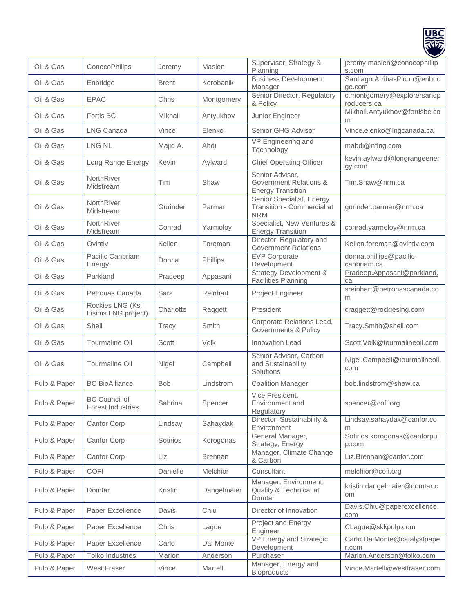

| Oil & Gas    | ConocoPhilips                                    | Jeremy       | Maslen          | Supervisor, Strategy &<br>Planning                                    | jeremy.maslen@conocophillip<br>s.com      |
|--------------|--------------------------------------------------|--------------|-----------------|-----------------------------------------------------------------------|-------------------------------------------|
| Oil & Gas    | Enbridge                                         | <b>Brent</b> | Korobanik       | <b>Business Development</b><br>Manager                                | Santiago.ArribasPicon@enbrid<br>ge.com    |
| Oil & Gas    | <b>EPAC</b>                                      | Chris        | Montgomery      | Senior Director, Regulatory<br>& Policy                               | c.montgomery@explorersandp<br>roducers.ca |
| Oil & Gas    | Fortis BC                                        | Mikhail      | Antyukhov       | Junior Engineer                                                       | Mikhail.Antyukhov@fortisbc.co<br>m        |
| Oil & Gas    | <b>LNG Canada</b>                                | Vince        | Elenko          | Senior GHG Advisor                                                    | Vince.elenko@Ingcanada.ca                 |
| Oil & Gas    | <b>LNG NL</b>                                    | Majid A.     | Abdi            | VP Engineering and<br>Technology                                      | mabdi@nflng.com                           |
| Oil & Gas    | Long Range Energy                                | Kevin        | Aylward         | <b>Chief Operating Officer</b>                                        | kevin.aylward@longrangeener<br>gy.com     |
| Oil & Gas    | NorthRiver<br>Midstream                          | Tim          | Shaw            | Senior Advisor,<br>Government Relations &<br><b>Energy Transition</b> | Tim.Shaw@nrm.ca                           |
| Oil & Gas    | NorthRiver<br>Midstream                          | Gurinder     | Parmar          | Senior Specialist, Energy<br>Transition - Commercial at<br><b>NRM</b> | gurinder.parmar@nrm.ca                    |
| Oil & Gas    | NorthRiver<br>Midstream                          | Conrad       | Yarmoloy        | Specialist, New Ventures &<br><b>Energy Transition</b>                | conrad.yarmoloy@nrm.ca                    |
| Oil & Gas    | Ovintiv                                          | Kellen       | Foreman         | Director, Regulatory and<br><b>Government Relations</b>               | Kellen.foreman@ovintiv.com                |
| Oil & Gas    | Pacific Canbriam<br>Energy                       | Donna        | Phillips        | <b>EVP Corporate</b><br>Development                                   | donna.phillips@pacific-<br>canbriam.ca    |
| Oil & Gas    | Parkland                                         | Pradeep      | Appasani        | <b>Strategy Development &amp;</b><br><b>Facilities Planning</b>       | Pradeep.Appasani@parkland.<br>ca          |
| Oil & Gas    | Petronas Canada                                  | Sara         | Reinhart        | Project Engineer                                                      | sreinhart@petronascanada.co<br>m          |
| Oil & Gas    | Rockies LNG (Ksi<br>Lisims LNG project)          | Charlotte    | Raggett         | President                                                             | craggett@rockiesIng.com                   |
| Oil & Gas    | Shell                                            | Tracy        | Smith           | Corporate Relations Lead,<br>Governments & Policy                     | Tracy.Smith@shell.com                     |
| Oil & Gas    | Tourmaline Oil                                   | Scott        | Volk            | <b>Innovation Lead</b>                                                | Scott.Volk@tourmalineoil.com              |
| Oil & Gas    | Tourmaline Oil                                   | Nigel        | Campbell        | Senior Advisor, Carbon<br>and Sustainability<br>Solutions             | Nigel.Campbell@tourmalineoil.<br>com      |
| Pulp & Paper | <b>BC BioAlliance</b>                            | <b>Bob</b>   | Lindstrom       | <b>Coalition Manager</b>                                              | bob.lindstrom@shaw.ca                     |
| Pulp & Paper | <b>BC Council of</b><br><b>Forest Industries</b> | Sabrina      | Spencer         | Vice President,<br>Environment and<br>Regulatory                      | spencer@cofi.org                          |
| Pulp & Paper | Canfor Corp                                      | Lindsay      | Sahaydak        | Director, Sustainability &<br>Environment                             | Lindsay.sahaydak@canfor.co<br>m           |
| Pulp & Paper | Canfor Corp                                      | Sotirios     | Korogonas       | General Manager,<br>Strategy, Energy                                  | Sotirios.korogonas@canforpul<br>p.com     |
| Pulp & Paper | Canfor Corp                                      | Liz          | <b>Brennan</b>  | Manager, Climate Change<br>& Carbon                                   | Liz.Brennan@canfor.com                    |
| Pulp & Paper | <b>COFI</b>                                      | Danielle     | <b>Melchior</b> | Consultant                                                            | melchior@cofi.org                         |
| Pulp & Paper | Domtar                                           | Kristin      | Dangelmaier     | Manager, Environment,<br>Quality & Technical at<br>Domtar             | kristin.dangelmaier@domtar.c<br>om        |
| Pulp & Paper | Paper Excellence                                 | Davis        | Chiu            | Director of Innovation                                                | Davis.Chiu@paperexcellence.<br>com        |
| Pulp & Paper | Paper Excellence                                 | Chris        | Lague           | Project and Energy<br>Engineer                                        | CLague@skkpulp.com                        |
| Pulp & Paper | Paper Excellence                                 | Carlo        | Dal Monte       | VP Energy and Strategic<br>Development                                | Carlo.DalMonte@catalystpape<br>r.com      |
| Pulp & Paper | Tolko Industries                                 | Marlon       | Anderson        | Purchaser                                                             | Marlon.Anderson@tolko.com                 |
| Pulp & Paper | West Fraser                                      | Vince        | Martell         | Manager, Energy and<br><b>Bioproducts</b>                             | Vince.Martell@westfraser.com              |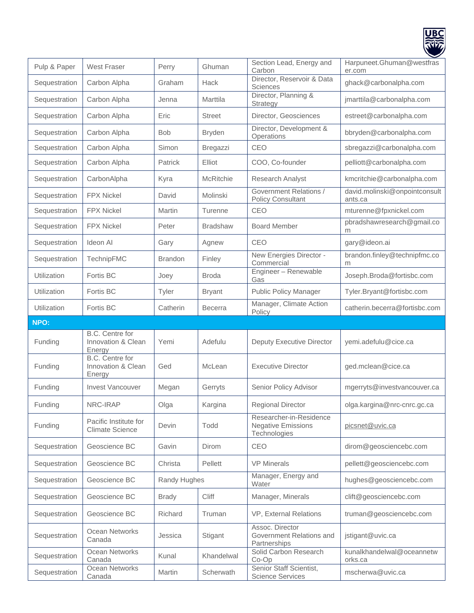

| Pulp & Paper  | <b>West Fraser</b>                              | Perry          | Ghuman          | Section Lead, Energy and<br>Carbon                                   | Harpuneet.Ghuman@westfras<br>er.com      |
|---------------|-------------------------------------------------|----------------|-----------------|----------------------------------------------------------------------|------------------------------------------|
| Sequestration | Carbon Alpha                                    | Graham         | Hack            | Director, Reservoir & Data<br>Sciences                               | ghack@carbonalpha.com                    |
| Sequestration | Carbon Alpha                                    | Jenna          | Marttila        | Director, Planning &<br>Strategy                                     | jmarttila@carbonalpha.com                |
| Sequestration | Carbon Alpha                                    | Eric           | <b>Street</b>   | Director, Geosciences                                                | estreet@carbonalpha.com                  |
| Sequestration | Carbon Alpha                                    | <b>Bob</b>     | <b>Bryden</b>   | Director, Development &<br>Operations                                | bbryden@carbonalpha.com                  |
| Sequestration | Carbon Alpha                                    | Simon          | Bregazzi        | CEO                                                                  | sbregazzi@carbonalpha.com                |
| Sequestration | Carbon Alpha                                    | Patrick        | Elliot          | COO, Co-founder                                                      | pelliott@carbonalpha.com                 |
| Sequestration | CarbonAlpha                                     | Kyra           | McRitchie       | Research Analyst                                                     | kmcritchie@carbonalpha.com               |
| Sequestration | <b>FPX Nickel</b>                               | David          | Molinski        | <b>Government Relations /</b><br><b>Policy Consultant</b>            | david.molinski@onpointconsult<br>ants.ca |
| Sequestration | <b>FPX Nickel</b>                               | Martin         | Turenne         | CEO                                                                  | mturenne@fpxnickel.com                   |
| Sequestration | <b>FPX Nickel</b>                               | Peter          | <b>Bradshaw</b> | <b>Board Member</b>                                                  | pbradshawresearch@gmail.co<br>m          |
| Sequestration | Ideon Al                                        | Gary           | Agnew           | CEO                                                                  | gary@ideon.ai                            |
| Sequestration | TechnipFMC                                      | <b>Brandon</b> | Finley          | New Energies Director -<br>Commercial                                | brandon.finley@technipfmc.co<br>m        |
| Utilization   | Fortis BC                                       | Joey           | <b>Broda</b>    | Engineer - Renewable<br>Gas                                          | Joseph.Broda@fortisbc.com                |
| Utilization   | Fortis BC                                       | Tyler          | <b>Bryant</b>   | <b>Public Policy Manager</b>                                         | Tyler.Bryant@fortisbc.com                |
| Utilization   | Fortis BC                                       | Catherin       | <b>Becerra</b>  | Manager, Climate Action<br>Policy                                    | catherin.becerra@fortisbc.com            |
|               |                                                 |                |                 |                                                                      |                                          |
| NPO:          |                                                 |                |                 |                                                                      |                                          |
| Funding       | B.C. Centre for<br>Innovation & Clean<br>Energy | Yemi           | Adefulu         | Deputy Executive Director                                            | yemi.adefulu@cice.ca                     |
| Funding       | B.C. Centre for<br>Innovation & Clean<br>Energy | Ged            | McLean          | <b>Executive Director</b>                                            | ged.mclean@cice.ca                       |
| Funding       | <b>Invest Vancouver</b>                         | Megan          | Gerryts         | Senior Policy Advisor                                                | mgerryts@investvancouver.ca              |
| Funding       | NRC-IRAP                                        | Olga           | Kargina         | <b>Regional Director</b>                                             | olga.kargina@nrc-cnrc.gc.ca              |
| Funding       | Pacific Institute for<br><b>Climate Science</b> | Devin          | Todd            | Researcher-in-Residence<br><b>Negative Emissions</b><br>Technologies | picsnet@uvic.ca                          |
| Sequestration | Geoscience BC                                   | Gavin          | Dirom           | CEO                                                                  | dirom@geosciencebc.com                   |
| Sequestration | Geoscience BC                                   | Christa        | Pellett         | <b>VP Minerals</b>                                                   | pellett@geosciencebc.com                 |
| Sequestration | Geoscience BC                                   | Randy Hughes   |                 | Manager, Energy and<br>Water                                         | hughes@geosciencebc.com                  |
| Sequestration | Geoscience BC                                   | <b>Brady</b>   | Cliff           | Manager, Minerals                                                    | clift@geosciencebc.com                   |
| Sequestration | Geoscience BC                                   | Richard        | Truman          | VP, External Relations                                               | truman@geosciencebc.com                  |
| Sequestration | Ocean Networks<br>Canada                        | Jessica        | Stigant         | Assoc. Director<br>Government Relations and<br>Partnerships          | jstigant@uvic.ca                         |
| Sequestration | Ocean Networks<br>Canada                        | Kunal          | Khandelwal      | Solid Carbon Research<br>$Co$ - $Op$                                 | kunalkhandelwal@oceannetw<br>orks.ca     |